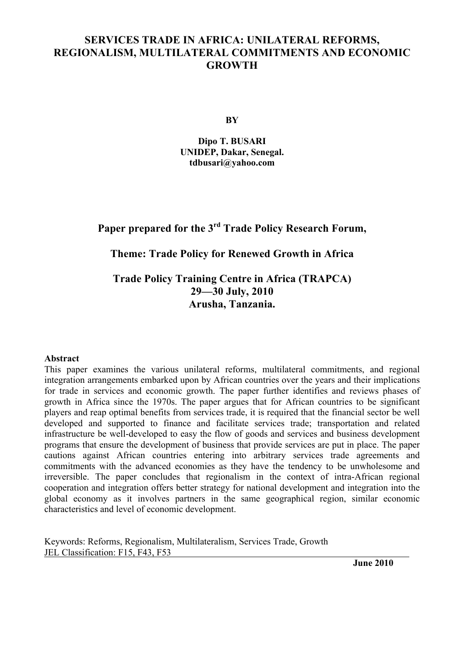# **SERVICES TRADE IN AFRICA: UNILATERAL REFORMS, REGIONALISM, MULTILATERAL COMMITMENTS AND ECONOMIC GROWTH**

**BY**

**Dipo T. BUSARI UNIDEP, Dakar, Senegal. tdbusari@yahoo.com**

**Paper prepared for the 3rd Trade Policy Research Forum,**

# **Theme: Trade Policy for Renewed Growth in Africa**

**Trade Policy Training Centre in Africa (TRAPCA) 29—30 July, 2010 Arusha, Tanzania.**

#### **Abstract**

This paper examines the various unilateral reforms, multilateral commitments, and regional integration arrangements embarked upon by African countries over the years and their implications for trade in services and economic growth. The paper further identifies and reviews phases of growth in Africa since the 1970s. The paper argues that for African countries to be significant players and reap optimal benefits from services trade, it is required that the financial sector be well developed and supported to finance and facilitate services trade; transportation and related infrastructure be well-developed to easy the flow of goods and services and business development programs that ensure the development of business that provide services are put in place. The paper cautions against African countries entering into arbitrary services trade agreements and commitments with the advanced economies as they have the tendency to be unwholesome and irreversible. The paper concludes that regionalism in the context of intra-African regional cooperation and integration offers better strategy for national development and integration into the global economy as it involves partners in the same geographical region, similar economic characteristics and level of economic development.

Keywords: Reforms, Regionalism, Multilateralism, Services Trade, Growth JEL Classification: F15, F43, F53

**June 2010**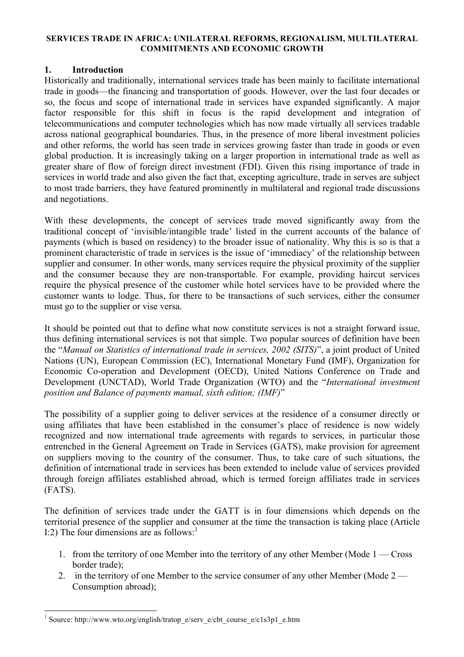#### **SERVICES TRADE IN AFRICA: UNILATERAL REFORMS, REGIONALISM, MULTILATERAL COMMITMENTS AND ECONOMIC GROWTH**

### **1. Introduction**

Historically and traditionally, international services trade has been mainly to facilitate international trade in goods—the financing and transportation of goods. However, over the last four decades or so, the focus and scope of international trade in services have expanded significantly. A major factor responsible for this shift in focus is the rapid development and integration of telecommunications and computer technologies which has now made virtually all services tradable across national geographical boundaries. Thus, in the presence of more liberal investment policies and other reforms, the world has seen trade in services growing faster than trade in goods or even global production. It is increasingly taking on a larger proportion in international trade as well as greater share of flow of foreign direct investment (FDI). Given this rising importance of trade in services in world trade and also given the fact that, excepting agriculture, trade in serves are subject to most trade barriers, they have featured prominently in multilateral and regional trade discussions and negotiations.

With these developments, the concept of services trade moved significantly away from the traditional concept of 'invisible/intangible trade' listed in the current accounts of the balance of payments (which is based on residency) to the broader issue of nationality. Why this is so is that a prominent characteristic of trade in services is the issue of 'immediacy' of the relationship between supplier and consumer. In other words, many services require the physical proximity of the supplier and the consumer because they are non-transportable. For example, providing haircut services require the physical presence of the customer while hotel services have to be provided where the customer wants to lodge. Thus, for there to be transactions of such services, either the consumer must go to the supplier or vise versa.

It should be pointed out that to define what now constitute services is not a straight forward issue, thus defining international services is not that simple. Two popular sources of definition have been the "*Manual on Statistics of international trade in services, 2002 (SITS)*", a joint product of United Nations (UN), European Commission (EC), International Monetary Fund (IMF), Organization for Economic Co-operation and Development (OECD), United Nations Conference on Trade and Development (UNCTAD), World Trade Organization (WTO) and the "*International investment position and Balance of payments manual, sixth edition; (IMF)*"

The possibility of a supplier going to deliver services at the residence of a consumer directly or using affiliates that have been established in the consumer's place of residence is now widely recognized and now international trade agreements with regards to services, in particular those entrenched in the General Agreement on Trade in Services (GATS), make provision for agreement on suppliers moving to the country of the consumer. Thus, to take care of such situations, the definition of international trade in services has been extended to include value of services provided through foreign affiliates established abroad, which is termed foreign affiliates trade in services (FATS).

The definition of services trade under the GATT is in four dimensions which depends on the territorial presence of the supplier and consumer at the time the transaction is taking place (Article I:2) The four dimensions are as follows: $<sup>1</sup>$ </sup>

- 1. from the territory of one Member into the territory of any other Member (Mode 1 Cross border trade);
- 2. in the territory of one Member to the service consumer of any other Member (Mode 2 Consumption abroad);

 <sup>1</sup> Source: http://www.wto.org/english/tratop\_e/serv\_e/cbt\_course\_e/c1s3p1\_e.htm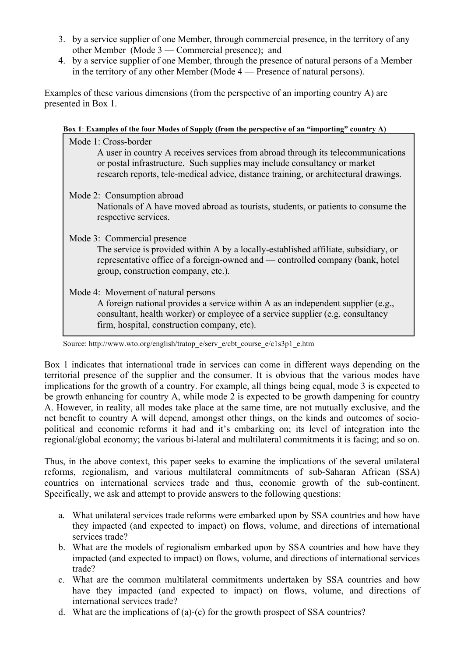- 3. by a service supplier of one Member, through commercial presence, in the territory of any other Member (Mode 3 — Commercial presence); and
- 4. by a service supplier of one Member, through the presence of natural persons of a Member in the territory of any other Member (Mode 4 — Presence of natural persons).

Examples of these various dimensions (from the perspective of an importing country A) are presented in Box 1.

| Box 1: Examples of the four Modes of Supply (from the perspective of an "importing" country A)                                                                                                                                                                                |
|-------------------------------------------------------------------------------------------------------------------------------------------------------------------------------------------------------------------------------------------------------------------------------|
| Mode 1: Cross-border<br>A user in country A receives services from abroad through its telecommunications<br>or postal infrastructure. Such supplies may include consultancy or market<br>research reports, tele-medical advice, distance training, or architectural drawings. |
| Mode 2: Consumption abroad<br>Nationals of A have moved abroad as tourists, students, or patients to consume the<br>respective services.                                                                                                                                      |
| Mode 3: Commercial presence<br>The service is provided within A by a locally-established affiliate, subsidiary, or<br>representative office of a foreign-owned and — controlled company (bank, hotel<br>group, construction company, etc.).                                   |
| Mode 4: Movement of natural persons<br>A foreign national provides a service within A as an independent supplier (e.g.,<br>consultant, health worker) or employee of a service supplier (e.g. consultancy<br>firm, hospital, construction company, etc).                      |

Source: http://www.wto.org/english/tratop\_e/serv\_e/cbt\_course\_e/c1s3p1\_e.htm

Box 1 indicates that international trade in services can come in different ways depending on the territorial presence of the supplier and the consumer. It is obvious that the various modes have implications for the growth of a country. For example, all things being equal, mode 3 is expected to be growth enhancing for country A, while mode 2 is expected to be growth dampening for country A. However, in reality, all modes take place at the same time, are not mutually exclusive, and the net benefit to country A will depend, amongst other things, on the kinds and outcomes of sociopolitical and economic reforms it had and it's embarking on; its level of integration into the regional/global economy; the various bi-lateral and multilateral commitments it is facing; and so on.

Thus, in the above context, this paper seeks to examine the implications of the several unilateral reforms, regionalism, and various multilateral commitments of sub-Saharan African (SSA) countries on international services trade and thus, economic growth of the sub-continent. Specifically, we ask and attempt to provide answers to the following questions:

- a. What unilateral services trade reforms were embarked upon by SSA countries and how have they impacted (and expected to impact) on flows, volume, and directions of international services trade?
- b. What are the models of regionalism embarked upon by SSA countries and how have they impacted (and expected to impact) on flows, volume, and directions of international services trade?
- c. What are the common multilateral commitments undertaken by SSA countries and how have they impacted (and expected to impact) on flows, volume, and directions of international services trade?
- d. What are the implications of (a)-(c) for the growth prospect of SSA countries?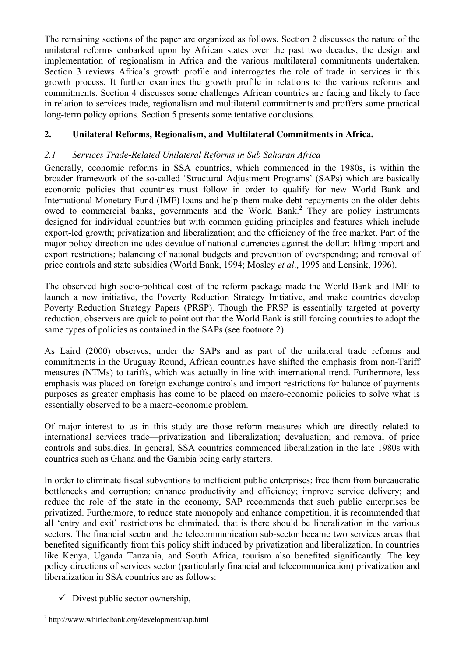The remaining sections of the paper are organized as follows. Section 2 discusses the nature of the unilateral reforms embarked upon by African states over the past two decades, the design and implementation of regionalism in Africa and the various multilateral commitments undertaken. Section 3 reviews Africa's growth profile and interrogates the role of trade in services in this growth process. It further examines the growth profile in relations to the various reforms and commitments. Section 4 discusses some challenges African countries are facing and likely to face in relation to services trade, regionalism and multilateral commitments and proffers some practical long-term policy options. Section 5 presents some tentative conclusions..

# **2. Unilateral Reforms, Regionalism, and Multilateral Commitments in Africa.**

# *2.1 Services Trade-Related Unilateral Reforms in Sub Saharan Africa*

Generally, economic reforms in SSA countries, which commenced in the 1980s, is within the broader framework of the so-called 'Structural Adjustment Programs' (SAPs) which are basically economic policies that countries must follow in order to qualify for new World Bank and International Monetary Fund (IMF) loans and help them make debt repayments on the older debts owed to commercial banks, governments and the World Bank.<sup>2</sup> They are policy instruments designed for individual countries but with common guiding principles and features which include export-led growth; privatization and liberalization; and the efficiency of the free market. Part of the major policy direction includes devalue of national currencies against the dollar; lifting import and export restrictions; balancing of national budgets and prevention of overspending; and removal of price controls and state subsidies (World Bank, 1994; Mosley *et al*., 1995 and Lensink, 1996).

The observed high socio-political cost of the reform package made the World Bank and IMF to launch a new initiative, the Poverty Reduction Strategy Initiative, and make countries develop Poverty Reduction Strategy Papers (PRSP). Though the PRSP is essentially targeted at poverty reduction, observers are quick to point out that the World Bank is still forcing countries to adopt the same types of policies as contained in the SAPs (see footnote 2).

As Laird (2000) observes, under the SAPs and as part of the unilateral trade reforms and commitments in the Uruguay Round, African countries have shifted the emphasis from non-Tariff measures (NTMs) to tariffs, which was actually in line with international trend. Furthermore, less emphasis was placed on foreign exchange controls and import restrictions for balance of payments purposes as greater emphasis has come to be placed on macro-economic policies to solve what is essentially observed to be a macro-economic problem.

Of major interest to us in this study are those reform measures which are directly related to international services trade—privatization and liberalization; devaluation; and removal of price controls and subsidies. In general, SSA countries commenced liberalization in the late 1980s with countries such as Ghana and the Gambia being early starters.

In order to eliminate fiscal subventions to inefficient public enterprises; free them from bureaucratic bottlenecks and corruption; enhance productivity and efficiency; improve service delivery; and reduce the role of the state in the economy, SAP recommends that such public enterprises be privatized. Furthermore, to reduce state monopoly and enhance competition, it is recommended that all 'entry and exit' restrictions be eliminated, that is there should be liberalization in the various sectors. The financial sector and the telecommunication sub-sector became two services areas that benefited significantly from this policy shift induced by privatization and liberalization. In countries like Kenya, Uganda Tanzania, and South Africa, tourism also benefited significantly. The key policy directions of services sector (particularly financial and telecommunication) privatization and liberalization in SSA countries are as follows:

 $\checkmark$  Divest public sector ownership,

 $^{2}$  http://www.whirledbank.org/development/sap.html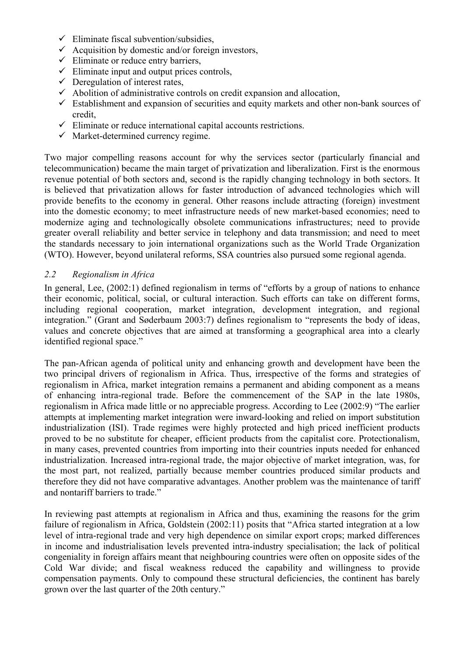- $\checkmark$  Eliminate fiscal subvention/subsidies.
- $\checkmark$  Acquisition by domestic and/or foreign investors,
- $\checkmark$  Eliminate or reduce entry barriers,
- $\checkmark$  Eliminate input and output prices controls,
- $\checkmark$  Deregulation of interest rates,
- $\checkmark$  Abolition of administrative controls on credit expansion and allocation,
- $\checkmark$  Establishment and expansion of securities and equity markets and other non-bank sources of credit,
- $\checkmark$  Eliminate or reduce international capital accounts restrictions.
- $\checkmark$  Market-determined currency regime.

Two major compelling reasons account for why the services sector (particularly financial and telecommunication) became the main target of privatization and liberalization. First is the enormous revenue potential of both sectors and, second is the rapidly changing technology in both sectors. It is believed that privatization allows for faster introduction of advanced technologies which will provide benefits to the economy in general. Other reasons include attracting (foreign) investment into the domestic economy; to meet infrastructure needs of new market-based economies; need to modernize aging and technologically obsolete communications infrastructures; need to provide greater overall reliability and better service in telephony and data transmission; and need to meet the standards necessary to join international organizations such as the World Trade Organization (WTO). However, beyond unilateral reforms, SSA countries also pursued some regional agenda.

### *2.2 Regionalism in Africa*

In general, Lee, (2002:1) defined regionalism in terms of "efforts by a group of nations to enhance their economic, political, social, or cultural interaction. Such efforts can take on different forms, including regional cooperation, market integration, development integration, and regional integration." (Grant and Søderbaum 2003:7) defines regionalism to "represents the body of ideas, values and concrete objectives that are aimed at transforming a geographical area into a clearly identified regional space."

The pan-African agenda of political unity and enhancing growth and development have been the two principal drivers of regionalism in Africa. Thus, irrespective of the forms and strategies of regionalism in Africa, market integration remains a permanent and abiding component as a means of enhancing intra-regional trade. Before the commencement of the SAP in the late 1980s, regionalism in Africa made little or no appreciable progress. According to Lee (2002:9) "The earlier attempts at implementing market integration were inward-looking and relied on import substitution industrialization (ISI). Trade regimes were highly protected and high priced inefficient products proved to be no substitute for cheaper, efficient products from the capitalist core. Protectionalism, in many cases, prevented countries from importing into their countries inputs needed for enhanced industrialization. Increased intra-regional trade, the major objective of market integration, was, for the most part, not realized, partially because member countries produced similar products and therefore they did not have comparative advantages. Another problem was the maintenance of tariff and nontariff barriers to trade."

In reviewing past attempts at regionalism in Africa and thus, examining the reasons for the grim failure of regionalism in Africa, Goldstein (2002:11) posits that "Africa started integration at a low level of intra-regional trade and very high dependence on similar export crops; marked differences in income and industrialisation levels prevented intra-industry specialisation; the lack of political congeniality in foreign affairs meant that neighbouring countries were often on opposite sides of the Cold War divide; and fiscal weakness reduced the capability and willingness to provide compensation payments. Only to compound these structural deficiencies, the continent has barely grown over the last quarter of the 20th century."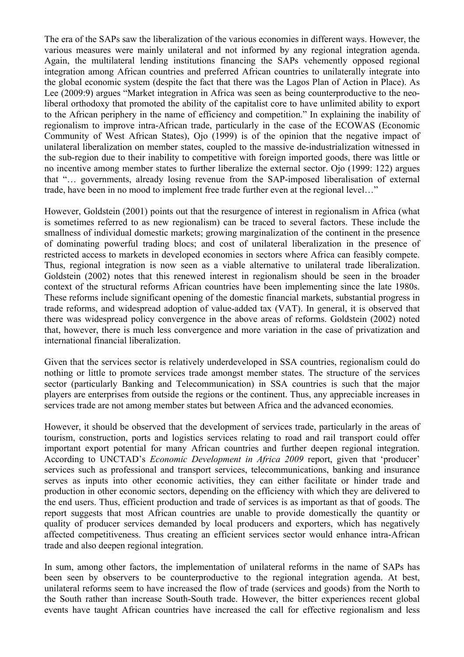The era of the SAPs saw the liberalization of the various economies in different ways. However, the various measures were mainly unilateral and not informed by any regional integration agenda. Again, the multilateral lending institutions financing the SAPs vehemently opposed regional integration among African countries and preferred African countries to unilaterally integrate into the global economic system (despite the fact that there was the Lagos Plan of Action in Place). As Lee (2009:9) argues "Market integration in Africa was seen as being counterproductive to the neoliberal orthodoxy that promoted the ability of the capitalist core to have unlimited ability to export to the African periphery in the name of efficiency and competition." In explaining the inability of regionalism to improve intra-African trade, particularly in the case of the ECOWAS (Economic Community of West African States), Ojo (1999) is of the opinion that the negative impact of unilateral liberalization on member states, coupled to the massive de-industrialization witnessed in the sub-region due to their inability to competitive with foreign imported goods, there was little or no incentive among member states to further liberalize the external sector. Ojo (1999: 122) argues that "… governments, already losing revenue from the SAP-imposed liberalisation of external trade, have been in no mood to implement free trade further even at the regional level…"

However, Goldstein (2001) points out that the resurgence of interest in regionalism in Africa (what is sometimes referred to as new regionalism) can be traced to several factors. These include the smallness of individual domestic markets; growing marginalization of the continent in the presence of dominating powerful trading blocs; and cost of unilateral liberalization in the presence of restricted access to markets in developed economies in sectors where Africa can feasibly compete. Thus, regional integration is now seen as a viable alternative to unilateral trade liberalization. Goldstein (2002) notes that this renewed interest in regionalism should be seen in the broader context of the structural reforms African countries have been implementing since the late 1980s. These reforms include significant opening of the domestic financial markets, substantial progress in trade reforms, and widespread adoption of value-added tax (VAT). In general, it is observed that there was widespread policy convergence in the above areas of reforms. Goldstein (2002) noted that, however, there is much less convergence and more variation in the case of privatization and international financial liberalization.

Given that the services sector is relatively underdeveloped in SSA countries, regionalism could do nothing or little to promote services trade amongst member states. The structure of the services sector (particularly Banking and Telecommunication) in SSA countries is such that the major players are enterprises from outside the regions or the continent. Thus, any appreciable increases in services trade are not among member states but between Africa and the advanced economies.

However, it should be observed that the development of services trade, particularly in the areas of tourism, construction, ports and logistics services relating to road and rail transport could offer important export potential for many African countries and further deepen regional integration. According to UNCTAD's *Economic Development in Africa 2009* report, given that 'producer' services such as professional and transport services, telecommunications, banking and insurance serves as inputs into other economic activities, they can either facilitate or hinder trade and production in other economic sectors, depending on the efficiency with which they are delivered to the end users. Thus, efficient production and trade of services is as important as that of goods. The report suggests that most African countries are unable to provide domestically the quantity or quality of producer services demanded by local producers and exporters, which has negatively affected competitiveness. Thus creating an efficient services sector would enhance intra-African trade and also deepen regional integration.

In sum, among other factors, the implementation of unilateral reforms in the name of SAPs has been seen by observers to be counterproductive to the regional integration agenda. At best, unilateral reforms seem to have increased the flow of trade (services and goods) from the North to the South rather than increase South-South trade. However, the bitter experiences recent global events have taught African countries have increased the call for effective regionalism and less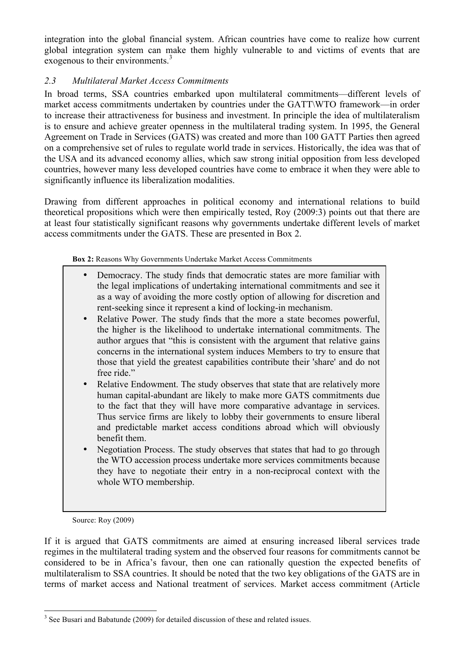integration into the global financial system. African countries have come to realize how current global integration system can make them highly vulnerable to and victims of events that are exogenous to their environments.<sup>3</sup>

### *2.3 Multilateral Market Access Commitments*

In broad terms, SSA countries embarked upon multilateral commitments—different levels of market access commitments undertaken by countries under the GATT\WTO framework—in order to increase their attractiveness for business and investment. In principle the idea of multilateralism is to ensure and achieve greater openness in the multilateral trading system. In 1995, the General Agreement on Trade in Services (GATS) was created and more than 100 GATT Parties then agreed on a comprehensive set of rules to regulate world trade in services. Historically, the idea was that of the USA and its advanced economy allies, which saw strong initial opposition from less developed countries, however many less developed countries have come to embrace it when they were able to significantly influence its liberalization modalities.

Drawing from different approaches in political economy and international relations to build theoretical propositions which were then empirically tested, Roy (2009:3) points out that there are at least four statistically significant reasons why governments undertake different levels of market access commitments under the GATS. These are presented in Box 2.

**Box 2:** Reasons Why Governments Undertake Market Access Commitments

- Democracy. The study finds that democratic states are more familiar with the legal implications of undertaking international commitments and see it as a way of avoiding the more costly option of allowing for discretion and rent-seeking since it represent a kind of locking-in mechanism.
- Relative Power. The study finds that the more a state becomes powerful, the higher is the likelihood to undertake international commitments. The author argues that "this is consistent with the argument that relative gains concerns in the international system induces Members to try to ensure that those that yield the greatest capabilities contribute their 'share' and do not free ride"
- Relative Endowment. The study observes that state that are relatively more human capital-abundant are likely to make more GATS commitments due to the fact that they will have more comparative advantage in services. Thus service firms are likely to lobby their governments to ensure liberal and predictable market access conditions abroad which will obviously benefit them.
- Negotiation Process. The study observes that states that had to go through the WTO accession process undertake more services commitments because they have to negotiate their entry in a non-reciprocal context with the whole WTO membership.

Source: Roy (2009)

If it is argued that GATS commitments are aimed at ensuring increased liberal services trade regimes in the multilateral trading system and the observed four reasons for commitments cannot be considered to be in Africa's favour, then one can rationally question the expected benefits of multilateralism to SSA countries. It should be noted that the two key obligations of the GATS are in terms of market access and National treatment of services. Market access commitment (Article

<sup>&</sup>lt;sup>3</sup> See Busari and Babatunde (2009) for detailed discussion of these and related issues.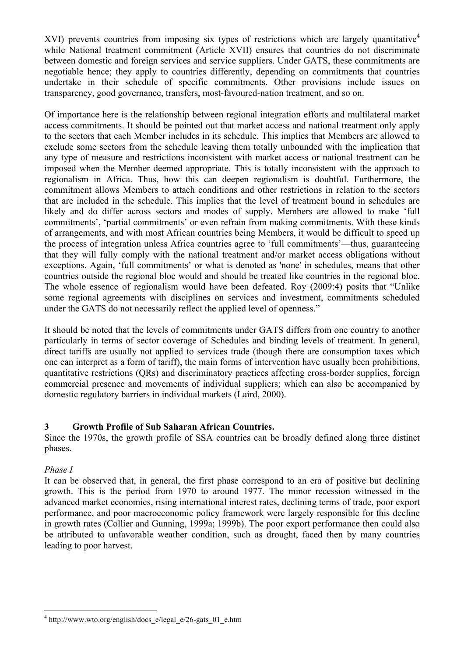XVI) prevents countries from imposing six types of restrictions which are largely quantitative<sup>4</sup> while National treatment commitment (Article XVII) ensures that countries do not discriminate between domestic and foreign services and service suppliers. Under GATS, these commitments are negotiable hence; they apply to countries differently, depending on commitments that countries undertake in their schedule of specific commitments. Other provisions include issues on transparency, good governance, transfers, most-favoured-nation treatment, and so on.

Of importance here is the relationship between regional integration efforts and multilateral market access commitments. It should be pointed out that market access and national treatment only apply to the sectors that each Member includes in its schedule. This implies that Members are allowed to exclude some sectors from the schedule leaving them totally unbounded with the implication that any type of measure and restrictions inconsistent with market access or national treatment can be imposed when the Member deemed appropriate. This is totally inconsistent with the approach to regionalism in Africa. Thus, how this can deepen regionalism is doubtful. Furthermore, the commitment allows Members to attach conditions and other restrictions in relation to the sectors that are included in the schedule. This implies that the level of treatment bound in schedules are likely and do differ across sectors and modes of supply. Members are allowed to make 'full commitments', 'partial commitments' or even refrain from making commitments. With these kinds of arrangements, and with most African countries being Members, it would be difficult to speed up the process of integration unless Africa countries agree to 'full commitments'—thus, guaranteeing that they will fully comply with the national treatment and/or market access obligations without exceptions. Again, 'full commitments' or what is denoted as 'none' in schedules, means that other countries outside the regional bloc would and should be treated like countries in the regional bloc. The whole essence of regionalism would have been defeated. Roy (2009:4) posits that "Unlike some regional agreements with disciplines on services and investment, commitments scheduled under the GATS do not necessarily reflect the applied level of openness."

It should be noted that the levels of commitments under GATS differs from one country to another particularly in terms of sector coverage of Schedules and binding levels of treatment. In general, direct tariffs are usually not applied to services trade (though there are consumption taxes which one can interpret as a form of tariff), the main forms of intervention have usually been prohibitions, quantitative restrictions (QRs) and discriminatory practices affecting cross-border supplies, foreign commercial presence and movements of individual suppliers; which can also be accompanied by domestic regulatory barriers in individual markets (Laird, 2000).

## **3 Growth Profile of Sub Saharan African Countries.**

Since the 1970s, the growth profile of SSA countries can be broadly defined along three distinct phases.

### *Phase I*

It can be observed that, in general, the first phase correspond to an era of positive but declining growth. This is the period from 1970 to around 1977. The minor recession witnessed in the advanced market economies, rising international interest rates, declining terms of trade, poor export performance, and poor macroeconomic policy framework were largely responsible for this decline in growth rates (Collier and Gunning, 1999a; 1999b). The poor export performance then could also be attributed to unfavorable weather condition, such as drought, faced then by many countries leading to poor harvest.

 $4 \text{ http://www.wto.org/english/docs-e/legal e/26-gats}01 \text{ e.htm}$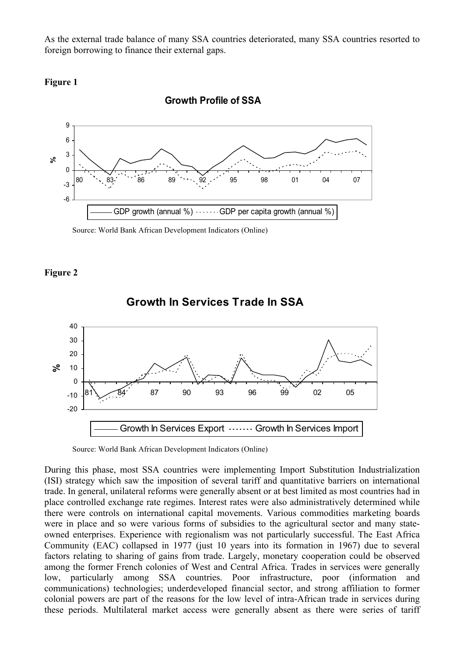As the external trade balance of many SSA countries deteriorated, many SSA countries resorted to foreign borrowing to finance their external gaps.



-6 -3  $\Omega$ 3 6 9 80 89 89 98 98 01 04 07 **%**GDP growth (annual  $\%$ )  $\cdots$  GDP per capita growth (annual  $\%$ )

**Growth Profile of SSA** 

Source: World Bank African Development Indicators (Online)

### **Figure 2**



### **Growth In Services Trade In SSA**

Source: World Bank African Development Indicators (Online)

During this phase, most SSA countries were implementing Import Substitution Industrialization (ISI) strategy which saw the imposition of several tariff and quantitative barriers on international trade. In general, unilateral reforms were generally absent or at best limited as most countries had in place controlled exchange rate regimes. Interest rates were also administratively determined while there were controls on international capital movements. Various commodities marketing boards were in place and so were various forms of subsidies to the agricultural sector and many stateowned enterprises. Experience with regionalism was not particularly successful. The East Africa Community (EAC) collapsed in 1977 (just 10 years into its formation in 1967) due to several factors relating to sharing of gains from trade. Largely, monetary cooperation could be observed among the former French colonies of West and Central Africa. Trades in services were generally low, particularly among SSA countries. Poor infrastructure, poor (information and communications) technologies; underdeveloped financial sector, and strong affiliation to former colonial powers are part of the reasons for the low level of intra-African trade in services during these periods. Multilateral market access were generally absent as there were series of tariff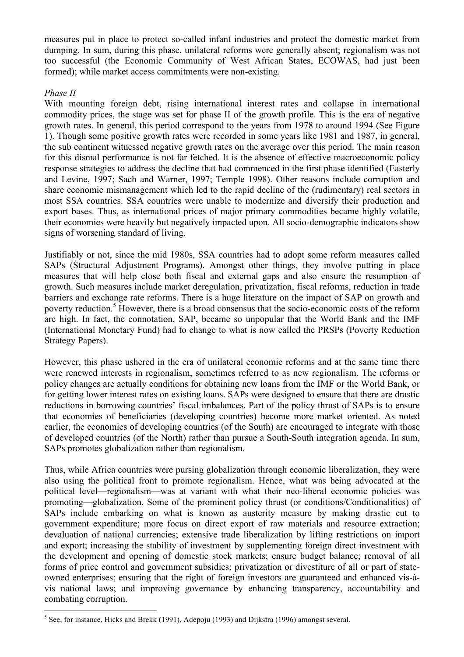measures put in place to protect so-called infant industries and protect the domestic market from dumping. In sum, during this phase, unilateral reforms were generally absent; regionalism was not too successful (the Economic Community of West African States, ECOWAS, had just been formed); while market access commitments were non-existing.

### *Phase II*

With mounting foreign debt, rising international interest rates and collapse in international commodity prices, the stage was set for phase II of the growth profile. This is the era of negative growth rates. In general, this period correspond to the years from 1978 to around 1994 (See Figure 1). Though some positive growth rates were recorded in some years like 1981 and 1987, in general, the sub continent witnessed negative growth rates on the average over this period. The main reason for this dismal performance is not far fetched. It is the absence of effective macroeconomic policy response strategies to address the decline that had commenced in the first phase identified (Easterly and Levine, 1997; Sach and Warner, 1997; Temple 1998). Other reasons include corruption and share economic mismanagement which led to the rapid decline of the (rudimentary) real sectors in most SSA countries. SSA countries were unable to modernize and diversify their production and export bases. Thus, as international prices of major primary commodities became highly volatile, their economies were heavily but negatively impacted upon. All socio-demographic indicators show signs of worsening standard of living.

Justifiably or not, since the mid 1980s, SSA countries had to adopt some reform measures called SAPs (Structural Adjustment Programs). Amongst other things, they involve putting in place measures that will help close both fiscal and external gaps and also ensure the resumption of growth. Such measures include market deregulation, privatization, fiscal reforms, reduction in trade barriers and exchange rate reforms. There is a huge literature on the impact of SAP on growth and poverty reduction.<sup>5</sup> However, there is a broad consensus that the socio-economic costs of the reform are high. In fact, the connotation, SAP, became so unpopular that the World Bank and the IMF (International Monetary Fund) had to change to what is now called the PRSPs (Poverty Reduction Strategy Papers).

However, this phase ushered in the era of unilateral economic reforms and at the same time there were renewed interests in regionalism, sometimes referred to as new regionalism. The reforms or policy changes are actually conditions for obtaining new loans from the IMF or the World Bank, or for getting lower interest rates on existing loans. SAPs were designed to ensure that there are drastic reductions in borrowing countries' fiscal imbalances. Part of the policy thrust of SAPs is to ensure that economies of beneficiaries (developing countries) become more market oriented. As noted earlier, the economies of developing countries (of the South) are encouraged to integrate with those of developed countries (of the North) rather than pursue a South-South integration agenda. In sum, SAPs promotes globalization rather than regionalism.

Thus, while Africa countries were pursing globalization through economic liberalization, they were also using the political front to promote regionalism. Hence, what was being advocated at the political level—regionalism—was at variant with what their neo-liberal economic policies was promoting—globalization. Some of the prominent policy thrust (or conditions/Conditionalities) of SAPs include embarking on what is known as austerity measure by making drastic cut to government expenditure; more focus on direct export of raw materials and resource extraction; devaluation of national currencies; extensive trade liberalization by lifting restrictions on import and export; increasing the stability of investment by supplementing foreign direct investment with the development and opening of domestic stock markets; ensure budget balance; removal of all forms of price control and government subsidies; privatization or divestiture of all or part of stateowned enterprises; ensuring that the right of foreign investors are guaranteed and enhanced vis-àvis national laws; and improving governance by enhancing transparency, accountability and combating corruption.

 $5$  See, for instance, Hicks and Brekk (1991), Adepoju (1993) and Dijkstra (1996) amongst several.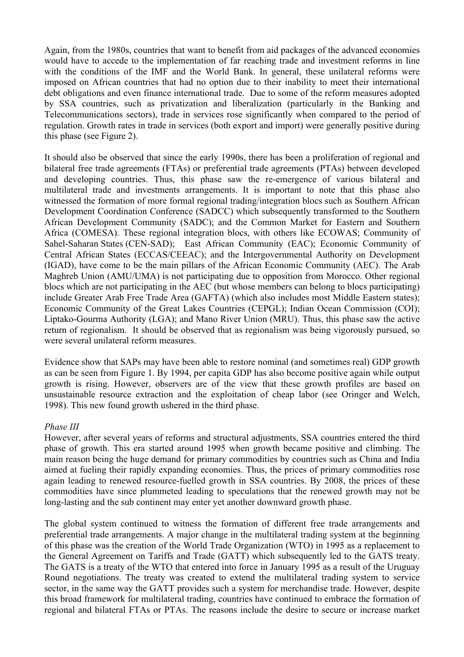Again, from the 1980s, countries that want to benefit from aid packages of the advanced economies would have to accede to the implementation of far reaching trade and investment reforms in line with the conditions of the IMF and the World Bank. In general, these unilateral reforms were imposed on African countries that had no option due to their inability to meet their international debt obligations and even finance international trade. Due to some of the reform measures adopted by SSA countries, such as privatization and liberalization (particularly in the Banking and Telecommunications sectors), trade in services rose significantly when compared to the period of regulation. Growth rates in trade in services (both export and import) were generally positive during this phase (see Figure 2).

It should also be observed that since the early 1990s, there has been a proliferation of regional and bilateral free trade agreements (FTAs) or preferential trade agreements (PTAs) between developed and developing countries. Thus, this phase saw the re-emergence of various bilateral and multilateral trade and investments arrangements. It is important to note that this phase also witnessed the formation of more formal regional trading/integration blocs such as Southern African Development Coordination Conference (SADCC) which subsequently transformed to the Southern African Development Community (SADC); and the Common Market for Eastern and Southern Africa (COMESA). These regional integration blocs, with others like ECOWAS; Community of Sahel-Saharan States (CEN-SAD); East African Community (EAC); Economic Community of Central African States (ECCAS/CEEAC); and the Intergovernmental Authority on Development (IGAD), have come to be the main pillars of the African Economic Community (AEC). The Arab Maghreb Union (AMU/UMA) is not participating due to opposition from Morocco. Other regional blocs which are not participating in the AEC (but whose members can belong to blocs participating) include Greater Arab Free Trade Area (GAFTA) (which also includes most Middle Eastern states); Economic Community of the Great Lakes Countries (CEPGL); Indian Ocean Commission (COI); Liptako-Gourma Authority (LGA); and Mano River Union (MRU). Thus, this phase saw the active return of regionalism. It should be observed that as regionalism was being vigorously pursued, so were several unilateral reform measures.

Evidence show that SAPs may have been able to restore nominal (and sometimes real) GDP growth as can be seen from Figure 1. By 1994, per capita GDP has also become positive again while output growth is rising. However, observers are of the view that these growth profiles are based on unsustainable resource extraction and the exploitation of cheap labor (see Oringer and Welch, 1998). This new found growth ushered in the third phase.

#### *Phase III*

However, after several years of reforms and structural adjustments, SSA countries entered the third phase of growth. This era started around 1995 when growth became positive and climbing. The main reason being the huge demand for primary commodities by countries such as China and India aimed at fueling their rapidly expanding economies. Thus, the prices of primary commodities rose again leading to renewed resource-fuelled growth in SSA countries. By 2008, the prices of these commodities have since plummeted leading to speculations that the renewed growth may not be long-lasting and the sub continent may enter yet another downward growth phase.

The global system continued to witness the formation of different free trade arrangements and preferential trade arrangements. A major change in the multilateral trading system at the beginning of this phase was the creation of the World Trade Organization (WTO) in 1995 as a replacement to the General Agreement on Tariffs and Trade (GATT) which subsequently led to the GATS treaty. The GATS is a treaty of the WTO that entered into force in January 1995 as a result of the Uruguay Round negotiations. The treaty was created to extend the multilateral trading system to service sector, in the same way the GATT provides such a system for merchandise trade. However, despite this broad framework for multilateral trading, countries have continued to embrace the formation of regional and bilateral FTAs or PTAs. The reasons include the desire to secure or increase market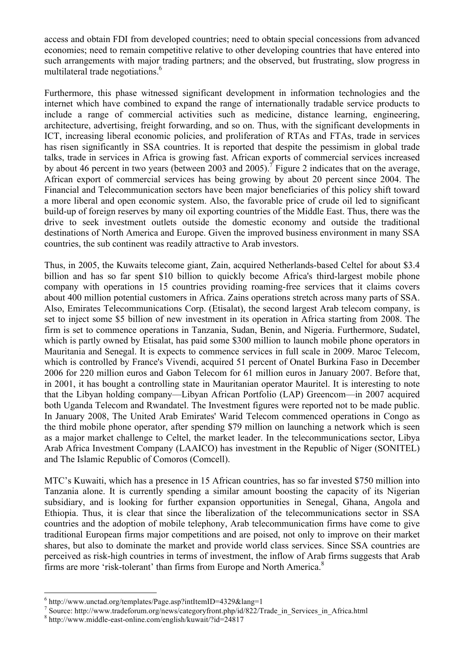access and obtain FDI from developed countries; need to obtain special concessions from advanced economies; need to remain competitive relative to other developing countries that have entered into such arrangements with major trading partners; and the observed, but frustrating, slow progress in multilateral trade negotiations.<sup>6</sup>

Furthermore, this phase witnessed significant development in information technologies and the internet which have combined to expand the range of internationally tradable service products to include a range of commercial activities such as medicine, distance learning, engineering, architecture, advertising, freight forwarding, and so on. Thus, with the significant developments in ICT, increasing liberal economic policies, and proliferation of RTAs and FTAs, trade in services has risen significantly in SSA countries. It is reported that despite the pessimism in global trade talks, trade in services in Africa is growing fast. African exports of commercial services increased by about 46 percent in two years (between 2003 and 2005).<sup> $\tau$ </sup> Figure 2 indicates that on the average, African export of commercial services has being growing by about 20 percent since 2004. The Financial and Telecommunication sectors have been major beneficiaries of this policy shift toward a more liberal and open economic system. Also, the favorable price of crude oil led to significant build-up of foreign reserves by many oil exporting countries of the Middle East. Thus, there was the drive to seek investment outlets outside the domestic economy and outside the traditional destinations of North America and Europe. Given the improved business environment in many SSA countries, the sub continent was readily attractive to Arab investors.

Thus, in 2005, the Kuwaits telecome giant, Zain, acquired Netherlands-based Celtel for about \$3.4 billion and has so far spent \$10 billion to quickly become Africa's third-largest mobile phone company with operations in 15 countries providing roaming-free services that it claims covers about 400 million potential customers in Africa. Zains operations stretch across many parts of SSA. Also, Emirates Telecommunications Corp. (Etisalat), the second largest Arab telecom company, is set to inject some \$5 billion of new investment in its operation in Africa starting from 2008. The firm is set to commence operations in Tanzania, Sudan, Benin, and Nigeria. Furthermore, Sudatel, which is partly owned by Etisalat, has paid some \$300 million to launch mobile phone operators in Mauritania and Senegal. It is expects to commence services in full scale in 2009. Maroc Telecom, which is controlled by France's Vivendi, acquired 51 percent of Onatel Burkina Faso in December 2006 for 220 million euros and Gabon Telecom for 61 million euros in January 2007. Before that, in 2001, it has bought a controlling state in Mauritanian operator Mauritel. It is interesting to note that the Libyan holding company—Libyan African Portfolio (LAP) Greencom—in 2007 acquired both Uganda Telecom and Rwandatel. The Investment figures were reported not to be made public. In January 2008, The United Arab Emirates' Warid Telecom commenced operations in Congo as the third mobile phone operator, after spending \$79 million on launching a network which is seen as a major market challenge to Celtel, the market leader. In the telecommunications sector, Libya Arab Africa Investment Company (LAAICO) has investment in the Republic of Niger (SONITEL) and The Islamic Republic of Comoros (Comcell).

MTC's Kuwaiti, which has a presence in 15 African countries, has so far invested \$750 million into Tanzania alone. It is currently spending a similar amount boosting the capacity of its Nigerian subsidiary, and is looking for further expansion opportunities in Senegal, Ghana, Angola and Ethiopia. Thus, it is clear that since the liberalization of the telecommunications sector in SSA countries and the adoption of mobile telephony, Arab telecommunication firms have come to give traditional European firms major competitions and are poised, not only to improve on their market shares, but also to dominate the market and provide world class services. Since SSA countries are perceived as risk-high countries in terms of investment, the inflow of Arab firms suggests that Arab firms are more 'risk-tolerant' than firms from Europe and North America.<sup>8</sup>

 <sup>6</sup> http://www.unctad.org/templates/Page.asp?intItemID=4329&lang=1

<sup>7</sup> Source: http://www.tradeforum.org/news/categoryfront.php/id/822/Trade\_in\_Services\_in\_Africa.html <sup>8</sup> http://www.middle-east-online.com/english/kuwait/?id=24817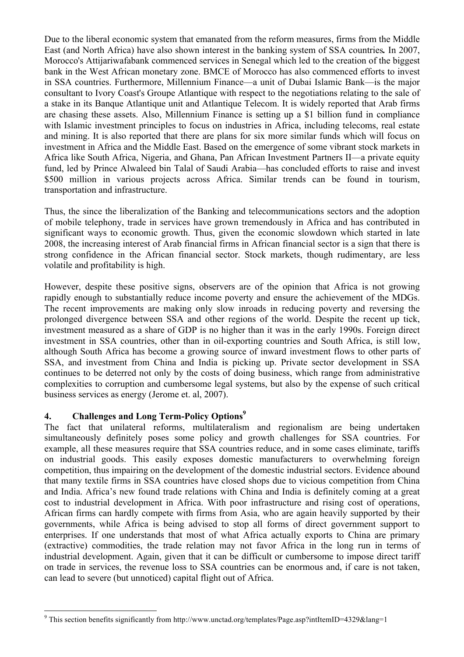Due to the liberal economic system that emanated from the reform measures, firms from the Middle East (and North Africa) have also shown interest in the banking system of SSA countries*.* In 2007, Morocco's Attijariwafabank commenced services in Senegal which led to the creation of the biggest bank in the West African monetary zone. BMCE of Morocco has also commenced efforts to invest in SSA countries. Furthermore, Millennium Finance—a unit of Dubai Islamic Bank—is the major consultant to Ivory Coast's Groupe Atlantique with respect to the negotiations relating to the sale of a stake in its Banque Atlantique unit and Atlantique Telecom. It is widely reported that Arab firms are chasing these assets. Also, Millennium Finance is setting up a \$1 billion fund in compliance with Islamic investment principles to focus on industries in Africa, including telecoms, real estate and mining. It is also reported that there are plans for six more similar funds which will focus on investment in Africa and the Middle East. Based on the emergence of some vibrant stock markets in Africa like South Africa, Nigeria, and Ghana, Pan African Investment Partners II—a private equity fund, led by Prince Alwaleed bin Talal of Saudi Arabia—has concluded efforts to raise and invest \$500 million in various projects across Africa. Similar trends can be found in tourism, transportation and infrastructure.

Thus, the since the liberalization of the Banking and telecommunications sectors and the adoption of mobile telephony, trade in services have grown tremendously in Africa and has contributed in significant ways to economic growth. Thus, given the economic slowdown which started in late 2008, the increasing interest of Arab financial firms in African financial sector is a sign that there is strong confidence in the African financial sector. Stock markets, though rudimentary, are less volatile and profitability is high.

However, despite these positive signs, observers are of the opinion that Africa is not growing rapidly enough to substantially reduce income poverty and ensure the achievement of the MDGs. The recent improvements are making only slow inroads in reducing poverty and reversing the prolonged divergence between SSA and other regions of the world. Despite the recent up tick, investment measured as a share of GDP is no higher than it was in the early 1990s. Foreign direct investment in SSA countries, other than in oil-exporting countries and South Africa, is still low, although South Africa has become a growing source of inward investment flows to other parts of SSA, and investment from China and India is picking up. Private sector development in SSA continues to be deterred not only by the costs of doing business, which range from administrative complexities to corruption and cumbersome legal systems, but also by the expense of such critical business services as energy (Jerome et. al, 2007).

## **4.** Challenges and Long Term-Policy Options<sup>9</sup>

The fact that unilateral reforms, multilateralism and regionalism are being undertaken simultaneously definitely poses some policy and growth challenges for SSA countries. For example, all these measures require that SSA countries reduce, and in some cases eliminate, tariffs on industrial goods. This easily exposes domestic manufacturers to overwhelming foreign competition, thus impairing on the development of the domestic industrial sectors. Evidence abound that many textile firms in SSA countries have closed shops due to vicious competition from China and India. Africa's new found trade relations with China and India is definitely coming at a great cost to industrial development in Africa. With poor infrastructure and rising cost of operations, African firms can hardly compete with firms from Asia, who are again heavily supported by their governments, while Africa is being advised to stop all forms of direct government support to enterprises. If one understands that most of what Africa actually exports to China are primary (extractive) commodities, the trade relation may not favor Africa in the long run in terms of industrial development. Again, given that it can be difficult or cumbersome to impose direct tariff on trade in services, the revenue loss to SSA countries can be enormous and, if care is not taken, can lead to severe (but unnoticed) capital flight out of Africa.

<sup>&</sup>lt;sup>9</sup> This section benefits significantly from http://www.unctad.org/templates/Page.asp?intItemID=4329&lang=1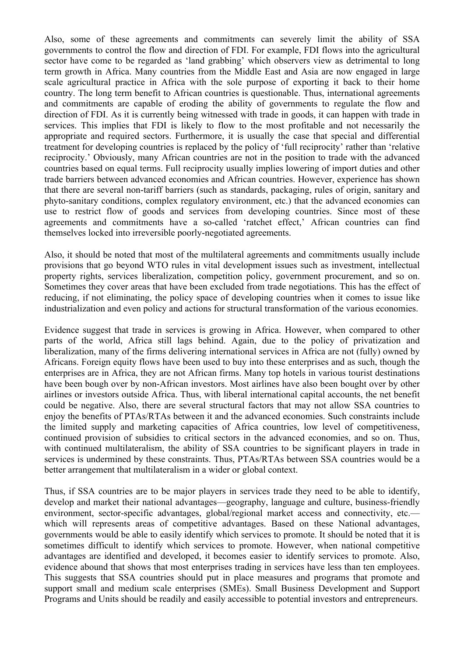Also, some of these agreements and commitments can severely limit the ability of SSA governments to control the flow and direction of FDI. For example, FDI flows into the agricultural sector have come to be regarded as 'land grabbing' which observers view as detrimental to long term growth in Africa. Many countries from the Middle East and Asia are now engaged in large scale agricultural practice in Africa with the sole purpose of exporting it back to their home country. The long term benefit to African countries is questionable. Thus, international agreements and commitments are capable of eroding the ability of governments to regulate the flow and direction of FDI. As it is currently being witnessed with trade in goods, it can happen with trade in services. This implies that FDI is likely to flow to the most profitable and not necessarily the appropriate and required sectors. Furthermore, it is usually the case that special and differential treatment for developing countries is replaced by the policy of 'full reciprocity' rather than 'relative reciprocity.' Obviously, many African countries are not in the position to trade with the advanced countries based on equal terms. Full reciprocity usually implies lowering of import duties and other trade barriers between advanced economies and African countries. However, experience has shown that there are several non-tariff barriers (such as standards, packaging, rules of origin, sanitary and phyto-sanitary conditions, complex regulatory environment, etc.) that the advanced economies can use to restrict flow of goods and services from developing countries. Since most of these agreements and commitments have a so-called 'ratchet effect,' African countries can find themselves locked into irreversible poorly-negotiated agreements.

Also, it should be noted that most of the multilateral agreements and commitments usually include provisions that go beyond WTO rules in vital development issues such as investment, intellectual property rights, services liberalization, competition policy, government procurement, and so on. Sometimes they cover areas that have been excluded from trade negotiations. This has the effect of reducing, if not eliminating, the policy space of developing countries when it comes to issue like industrialization and even policy and actions for structural transformation of the various economies.

Evidence suggest that trade in services is growing in Africa. However, when compared to other parts of the world, Africa still lags behind. Again, due to the policy of privatization and liberalization, many of the firms delivering international services in Africa are not (fully) owned by Africans. Foreign equity flows have been used to buy into these enterprises and as such, though the enterprises are in Africa, they are not African firms. Many top hotels in various tourist destinations have been bough over by non-African investors. Most airlines have also been bought over by other airlines or investors outside Africa. Thus, with liberal international capital accounts, the net benefit could be negative. Also, there are several structural factors that may not allow SSA countries to enjoy the benefits of PTAs/RTAs between it and the advanced economies. Such constraints include the limited supply and marketing capacities of Africa countries, low level of competitiveness, continued provision of subsidies to critical sectors in the advanced economies, and so on. Thus, with continued multilateralism, the ability of SSA countries to be significant players in trade in services is undermined by these constraints. Thus, PTAs/RTAs between SSA countries would be a better arrangement that multilateralism in a wider or global context.

Thus, if SSA countries are to be major players in services trade they need to be able to identify, develop and market their national advantages—geography, language and culture, business-friendly environment, sector-specific advantages, global/regional market access and connectivity, etc. which will represents areas of competitive advantages. Based on these National advantages, governments would be able to easily identify which services to promote. It should be noted that it is sometimes difficult to identify which services to promote. However, when national competitive advantages are identified and developed, it becomes easier to identify services to promote. Also, evidence abound that shows that most enterprises trading in services have less than ten employees. This suggests that SSA countries should put in place measures and programs that promote and support small and medium scale enterprises (SMEs). Small Business Development and Support Programs and Units should be readily and easily accessible to potential investors and entrepreneurs.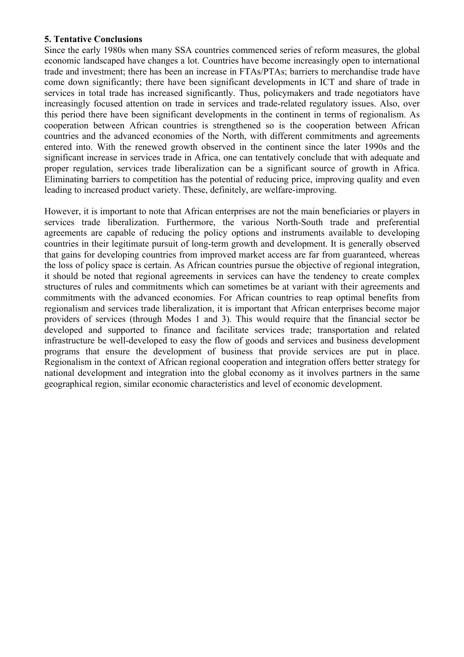#### **5. Tentative Conclusions**

Since the early 1980s when many SSA countries commenced series of reform measures, the global economic landscaped have changes a lot. Countries have become increasingly open to international trade and investment; there has been an increase in FTAs/PTAs; barriers to merchandise trade have come down significantly; there have been significant developments in ICT and share of trade in services in total trade has increased significantly. Thus, policymakers and trade negotiators have increasingly focused attention on trade in services and trade-related regulatory issues. Also, over this period there have been significant developments in the continent in terms of regionalism. As cooperation between African countries is strengthened so is the cooperation between African countries and the advanced economies of the North, with different commitments and agreements entered into. With the renewed growth observed in the continent since the later 1990s and the significant increase in services trade in Africa, one can tentatively conclude that with adequate and proper regulation, services trade liberalization can be a significant source of growth in Africa. Eliminating barriers to competition has the potential of reducing price, improving quality and even leading to increased product variety. These, definitely, are welfare-improving.

However, it is important to note that African enterprises are not the main beneficiaries or players in services trade liberalization. Furthermore, the various North-South trade and preferential agreements are capable of reducing the policy options and instruments available to developing countries in their legitimate pursuit of long-term growth and development. It is generally observed that gains for developing countries from improved market access are far from guaranteed, whereas the loss of policy space is certain. As African countries pursue the objective of regional integration, it should be noted that regional agreements in services can have the tendency to create complex structures of rules and commitments which can sometimes be at variant with their agreements and commitments with the advanced economies. For African countries to reap optimal benefits from regionalism and services trade liberalization, it is important that African enterprises become major providers of services (through Modes 1 and 3). This would require that the financial sector be developed and supported to finance and facilitate services trade; transportation and related infrastructure be well-developed to easy the flow of goods and services and business development programs that ensure the development of business that provide services are put in place. Regionalism in the context of African regional cooperation and integration offers better strategy for national development and integration into the global economy as it involves partners in the same geographical region, similar economic characteristics and level of economic development.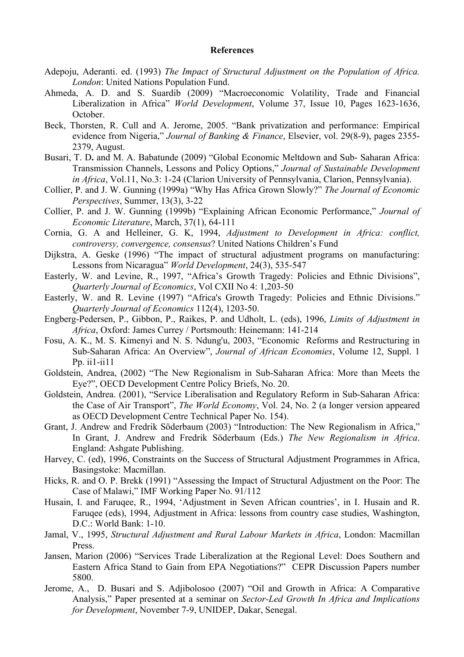#### **References**

- Adepoju, Aderanti. ed. (1993) *The Impact of Structural Adjustment on the Population of Africa. London*: United Nations Population Fund.
- Ahmeda, A. D. and S. Suardib (2009) "Macroeconomic Volatility, Trade and Financial Liberalization in Africa" *World Development*, Volume 37, Issue 10, Pages 1623-1636, October.
- Beck, Thorsten, R. Cull and A. Jerome, 2005. "Bank privatization and performance: Empirical evidence from Nigeria," *Journal of Banking & Finance*, Elsevier, vol. 29(8-9), pages 2355- 2379, August.
- Busari, T. D**.** and M. A. Babatunde (2009) "Global Economic Meltdown and Sub- Saharan Africa: Transmission Channels, Lessons and Policy Options," *Journal of Sustainable Development in Africa*, Vol.11, No.3: 1-24 (Clarion University of Pennsylvania, Clarion, Pennsylvania).
- Collier, P. and J. W. Gunning (1999a) "Why Has Africa Grown Slowly?" *The Journal of Economic Perspectives*, Summer, 13(3), 3-22
- Collier, P. and J. W. Gunning (1999b) "Explaining African Economic Performance," *Journal of Economic Literature*, March, 37(1), 64-111
- Cornia, G. A and Helleiner, G. K, 1994, *Adjustment to Development in Africa: conflict, controversy, convergence, consensus*? United Nations Children's Fund
- Dijkstra, A. Geske (1996) "The impact of structural adjustment programs on manufacturing: Lessons from Nicaragua" *World Development*, 24(3), 535-547
- Easterly, W. and Levine, R., 1997, "Africa's Growth Tragedy: Policies and Ethnic Divisions", *Quarterly Journal of Economics*, Vol CXII No 4: 1,203-50
- Easterly, W. and R. Levine (1997) "Africa's Growth Tragedy: Policies and Ethnic Divisions." *Quarterly Journal of Economics* 112(4), 1203-50.
- Engberg-Pedersen, P., Gibbon, P., Raikes, P. and Udholt, L. (eds), 1996, *Limits of Adjustment in Africa*, Oxford: James Currey / Portsmouth: Heinemann: 141-214
- Fosu, A. K., M. S. Kimenyi and N. S. Ndung'u, 2003, "Economic Reforms and Restructuring in Sub-Saharan Africa: An Overview", *Journal of African Economies*, Volume 12, Suppl. 1 Pp. ii1-ii11
- Goldstein, Andrea, (2002) "The New Regionalism in Sub-Saharan Africa: More than Meets the Eye?", OECD Development Centre Policy Briefs, No. 20.
- Goldstein, Andrea. (2001), "Service Liberalisation and Regulatory Reform in Sub-Saharan Africa: the Case of Air Transport", *The World Economy*, Vol. 24, No. 2 (a longer version appeared as OECD Development Centre Technical Paper No. 154).
- Grant, J. Andrew and Fredrik Söderbaum (2003) "Introduction: The New Regionalism in Africa," In Grant, J. Andrew and Fredrik Söderbaum (Eds.) *The New Regionalism in Africa*. England: Ashgate Publishing.
- Harvey, C. (ed), 1996, Constraints on the Success of Structural Adjustment Programmes in Africa, Basingstoke: Macmillan.
- Hicks, R. and O. P. Brekk (1991) "Assessing the Impact of Structural Adjustment on the Poor: The Case of Malawi," IMF Working Paper No. 91/112
- Husain, I. and Faruqee, R., 1994, 'Adjustment in Seven African countries', in I. Husain and R. Faruqee (eds), 1994, Adjustment in Africa: lessons from country case studies, Washington, D.C.: World Bank: 1-10.
- Jamal, V., 1995, *Structural Adjustment and Rural Labour Markets in Africa*, London: Macmillan Press.
- Jansen, Marion (2006) "Services Trade Liberalization at the Regional Level: Does Southern and Eastern Africa Stand to Gain from EPA Negotiations?" CEPR Discussion Papers number 5800.
- Jerome, A., D. Busari and S. Adjibolosoo (2007) "Oil and Growth in Africa: A Comparative Analysis," Paper presented at a seminar on *Sector-Led Growth In Africa and Implications for Development*, November 7-9, UNIDEP, Dakar, Senegal.